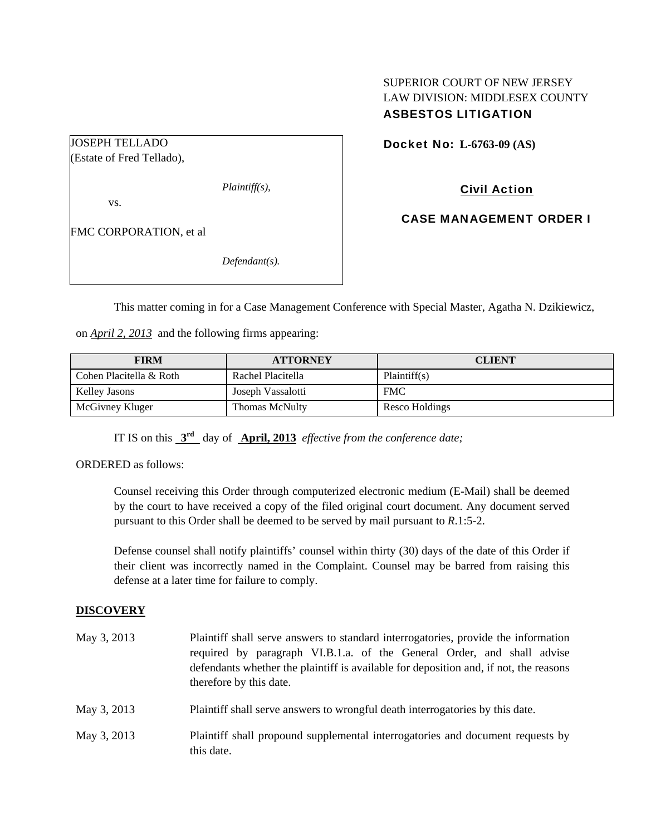## SUPERIOR COURT OF NEW JERSEY LAW DIVISION: MIDDLESEX COUNTY ASBESTOS LITIGATION

Docket No: **L-6763-09 (AS)** 

(Estate of Fred Tellado),

JOSEPH TELLADO

*Plaintiff(s),* 

Civil Action

CASE MANAGEMENT ORDER I

vs.

FMC CORPORATION, et al

*Defendant(s).* 

This matter coming in for a Case Management Conference with Special Master, Agatha N. Dzikiewicz,

on *April 2, 2013* and the following firms appearing:

| <b>FIRM</b>             | <b>ATTORNEY</b>   | <b>CLIENT</b>  |
|-------------------------|-------------------|----------------|
| Cohen Placitella & Roth | Rachel Placitella | Plaintiff(s)   |
| Kelley Jasons           | Joseph Vassalotti | <b>FMC</b>     |
| McGivney Kluger         | Thomas McNulty    | Resco Holdings |

IT IS on this **3rd** day of **April, 2013** *effective from the conference date;*

ORDERED as follows:

Counsel receiving this Order through computerized electronic medium (E-Mail) shall be deemed by the court to have received a copy of the filed original court document. Any document served pursuant to this Order shall be deemed to be served by mail pursuant to *R*.1:5-2.

Defense counsel shall notify plaintiffs' counsel within thirty (30) days of the date of this Order if their client was incorrectly named in the Complaint. Counsel may be barred from raising this defense at a later time for failure to comply.

## **DISCOVERY**

| May 3, 2013 | Plaintiff shall serve answers to standard interrogatories, provide the information<br>required by paragraph VI.B.1.a. of the General Order, and shall advise<br>defendants whether the plaintiff is available for deposition and, if not, the reasons<br>therefore by this date. |
|-------------|----------------------------------------------------------------------------------------------------------------------------------------------------------------------------------------------------------------------------------------------------------------------------------|
| May 3, 2013 | Plaintiff shall serve answers to wrongful death interrogatories by this date.                                                                                                                                                                                                    |
| May 3, 2013 | Plaintiff shall propound supplemental interrogatories and document requests by<br>this date.                                                                                                                                                                                     |